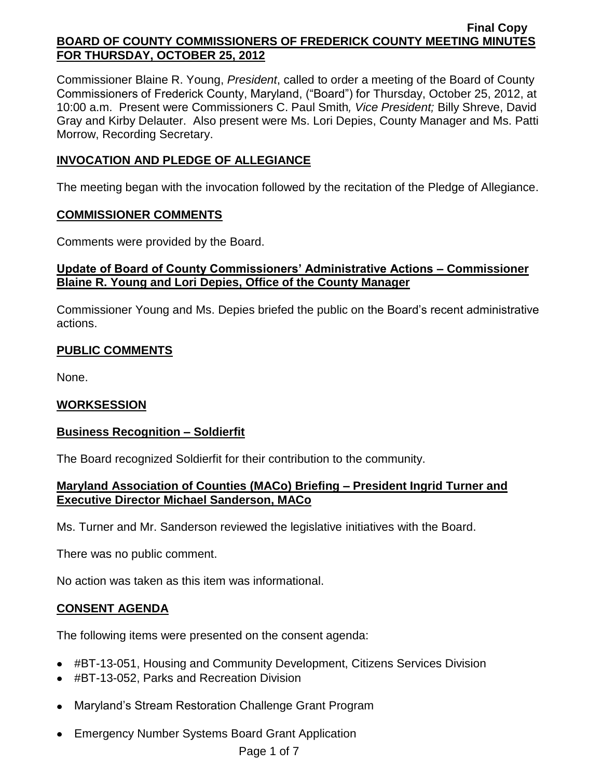Commissioner Blaine R. Young, *President*, called to order a meeting of the Board of County Commissioners of Frederick County, Maryland, ("Board") for Thursday, October 25, 2012, at 10:00 a.m. Present were Commissioners C. Paul Smith*, Vice President;* Billy Shreve, David Gray and Kirby Delauter. Also present were Ms. Lori Depies, County Manager and Ms. Patti Morrow, Recording Secretary.

# **INVOCATION AND PLEDGE OF ALLEGIANCE**

The meeting began with the invocation followed by the recitation of the Pledge of Allegiance.

## **COMMISSIONER COMMENTS**

Comments were provided by the Board.

# **Update of Board of County Commissioners' Administrative Actions – Commissioner Blaine R. Young and Lori Depies, Office of the County Manager**

Commissioner Young and Ms. Depies briefed the public on the Board's recent administrative actions.

# **PUBLIC COMMENTS**

None.

# **WORKSESSION**

# **Business Recognition – Soldierfit**

The Board recognized Soldierfit for their contribution to the community.

# **Maryland Association of Counties (MACo) Briefing – President Ingrid Turner and Executive Director Michael Sanderson, MACo**

Ms. Turner and Mr. Sanderson reviewed the legislative initiatives with the Board.

There was no public comment.

No action was taken as this item was informational.

# **CONSENT AGENDA**

The following items were presented on the consent agenda:

- #BT-13-051, Housing and Community Development, Citizens Services Division
- #BT-13-052, Parks and Recreation Division
- Maryland's Stream Restoration Challenge Grant Program
- Emergency Number Systems Board Grant Application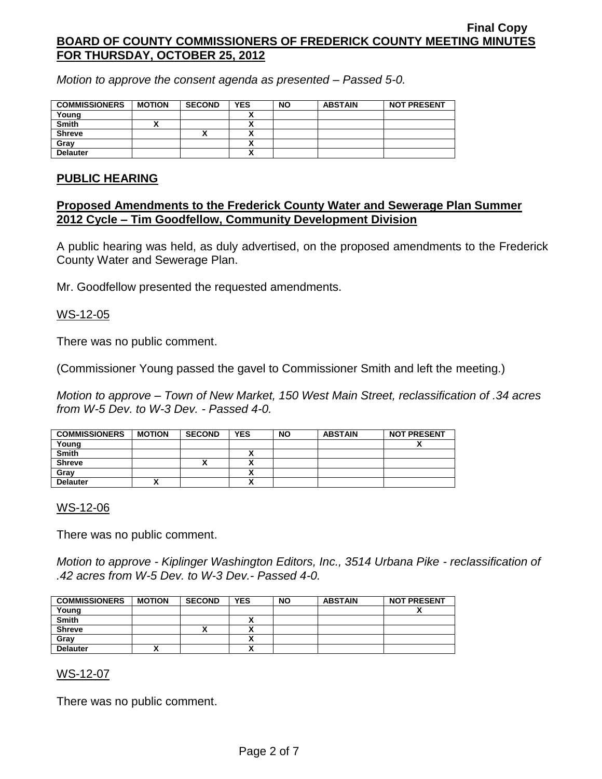*Motion to approve the consent agenda as presented – Passed 5-0.*

| <b>COMMISSIONERS</b> | <b>MOTION</b> | <b>SECOND</b> | <b>YES</b> | <b>NO</b> | <b>ABSTAIN</b> | <b>NOT PRESENT</b> |
|----------------------|---------------|---------------|------------|-----------|----------------|--------------------|
| Young                |               |               |            |           |                |                    |
| <b>Smith</b>         |               |               |            |           |                |                    |
| <b>Shreve</b>        |               | ́             |            |           |                |                    |
| Grav                 |               |               |            |           |                |                    |
| <b>Delauter</b>      |               |               |            |           |                |                    |

## **PUBLIC HEARING**

## **Proposed Amendments to the Frederick County Water and Sewerage Plan Summer 2012 Cycle – Tim Goodfellow, Community Development Division**

A public hearing was held, as duly advertised, on the proposed amendments to the Frederick County Water and Sewerage Plan.

Mr. Goodfellow presented the requested amendments.

### WS-12-05

There was no public comment.

(Commissioner Young passed the gavel to Commissioner Smith and left the meeting.)

*Motion to approve – Town of New Market, 150 West Main Street, reclassification of .34 acres from W-5 Dev. to W-3 Dev. - Passed 4-0.*

| <b>COMMISSIONERS</b> | <b>MOTION</b> | <b>SECOND</b> | <b>YES</b>           | <b>NO</b> | <b>ABSTAIN</b> | <b>NOT PRESENT</b> |
|----------------------|---------------|---------------|----------------------|-----------|----------------|--------------------|
| Young                |               |               |                      |           |                |                    |
| <b>Smith</b>         |               |               |                      |           |                |                    |
| <b>Shreve</b>        |               | Λ             | $\ddot{\phantom{1}}$ |           |                |                    |
| Gray                 |               |               |                      |           |                |                    |
| <b>Delauter</b>      |               |               |                      |           |                |                    |

## WS-12-06

There was no public comment.

*Motion to approve - Kiplinger Washington Editors, Inc., 3514 Urbana Pike - reclassification of .42 acres from W-5 Dev. to W-3 Dev.- Passed 4-0.*

| <b>COMMISSIONERS</b> | <b>MOTION</b> | <b>SECOND</b> | <b>YES</b> | <b>NO</b> | <b>ABSTAIN</b> | <b>NOT PRESENT</b> |
|----------------------|---------------|---------------|------------|-----------|----------------|--------------------|
| Young                |               |               |            |           |                |                    |
| <b>Smith</b>         |               |               |            |           |                |                    |
| <b>Shreve</b>        |               | ́             | `          |           |                |                    |
| Gray                 |               |               |            |           |                |                    |
| <b>Delauter</b>      |               |               |            |           |                |                    |

#### WS-12-07

There was no public comment.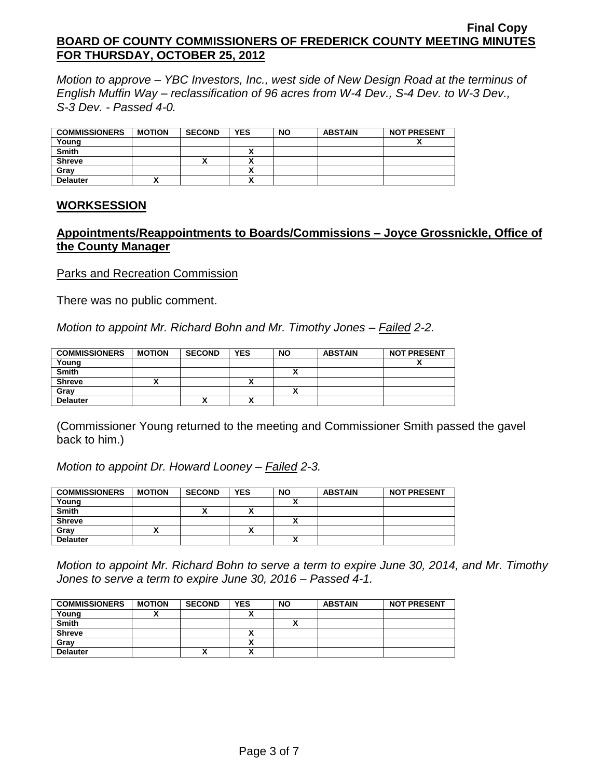*Motion to approve – YBC Investors, Inc., west side of New Design Road at the terminus of English Muffin Way – reclassification of 96 acres from W-4 Dev., S-4 Dev. to W-3 Dev., S-3 Dev. - Passed 4-0.*

| <b>COMMISSIONERS</b> | <b>MOTION</b> | <b>SECOND</b> | <b>YES</b> | <b>NO</b> | <b>ABSTAIN</b> | <b>NOT PRESENT</b> |
|----------------------|---------------|---------------|------------|-----------|----------------|--------------------|
| Young                |               |               |            |           |                |                    |
| <b>Smith</b>         |               |               |            |           |                |                    |
| <b>Shreve</b>        |               |               |            |           |                |                    |
| Grav                 |               |               |            |           |                |                    |
| <b>Delauter</b>      |               |               |            |           |                |                    |

### **WORKSESSION**

# **Appointments/Reappointments to Boards/Commissions – Joyce Grossnickle, Office of the County Manager**

Parks and Recreation Commission

There was no public comment.

*Motion to appoint Mr. Richard Bohn and Mr. Timothy Jones – Failed 2-2.*

| <b>COMMISSIONERS</b> | <b>MOTION</b> | <b>SECOND</b> | <b>YES</b> | <b>NO</b> | <b>ABSTAIN</b> | <b>NOT PRESENT</b> |
|----------------------|---------------|---------------|------------|-----------|----------------|--------------------|
| Young                |               |               |            |           |                |                    |
| <b>Smith</b>         |               |               |            |           |                |                    |
| <b>Shreve</b>        |               |               | ~          |           |                |                    |
| Gray                 |               |               |            |           |                |                    |
| <b>Delauter</b>      |               |               | v          |           |                |                    |

(Commissioner Young returned to the meeting and Commissioner Smith passed the gavel back to him.)

*Motion to appoint Dr. Howard Looney – Failed 2-3.*

| <b>COMMISSIONERS</b> | <b>MOTION</b> | <b>SECOND</b> | <b>YES</b> | <b>NO</b> | <b>ABSTAIN</b> | <b>NOT PRESENT</b> |
|----------------------|---------------|---------------|------------|-----------|----------------|--------------------|
| Young                |               |               |            |           |                |                    |
| <b>Smith</b>         |               |               |            |           |                |                    |
| <b>Shreve</b>        |               |               |            |           |                |                    |
| Gray                 |               |               |            |           |                |                    |
| <b>Delauter</b>      |               |               |            |           |                |                    |

*Motion to appoint Mr. Richard Bohn to serve a term to expire June 30, 2014, and Mr. Timothy Jones to serve a term to expire June 30, 2016 – Passed 4-1.*

| <b>COMMISSIONERS</b> | <b>MOTION</b> | <b>SECOND</b> | <b>YES</b> | <b>NO</b> | <b>ABSTAIN</b> | <b>NOT PRESENT</b> |
|----------------------|---------------|---------------|------------|-----------|----------------|--------------------|
| Young                |               |               |            |           |                |                    |
| <b>Smith</b>         |               |               |            |           |                |                    |
| <b>Shreve</b>        |               |               |            |           |                |                    |
| Grav                 |               |               |            |           |                |                    |
| <b>Delauter</b>      |               | v<br>Λ        |            |           |                |                    |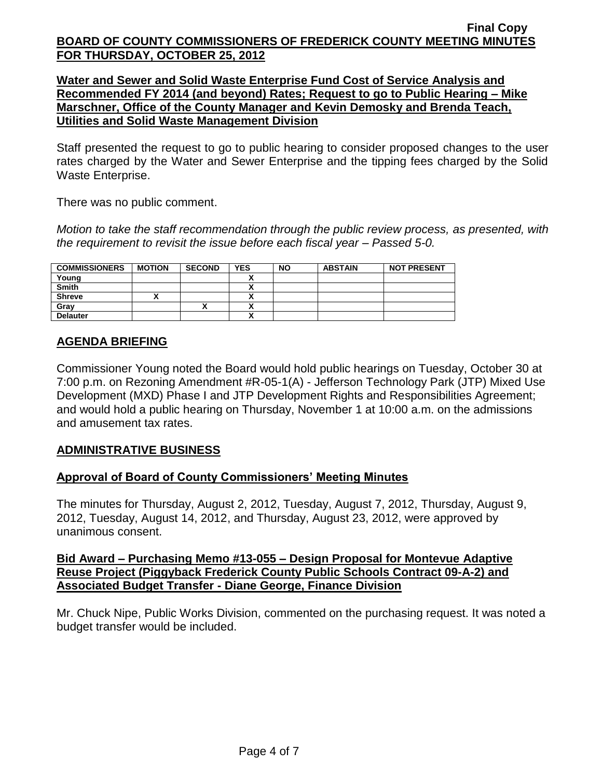**Water and Sewer and Solid Waste Enterprise Fund Cost of Service Analysis and Recommended FY 2014 (and beyond) Rates; Request to go to Public Hearing – Mike Marschner, Office of the County Manager and Kevin Demosky and Brenda Teach, Utilities and Solid Waste Management Division**

Staff presented the request to go to public hearing to consider proposed changes to the user rates charged by the Water and Sewer Enterprise and the tipping fees charged by the Solid Waste Enterprise.

There was no public comment.

*Motion to take the staff recommendation through the public review process, as presented, with the requirement to revisit the issue before each fiscal year – Passed 5-0.*

| <b>COMMISSIONERS</b> | <b>MOTION</b> | <b>SECOND</b> | <b>YES</b> | <b>NO</b> | <b>ABSTAIN</b> | <b>NOT PRESENT</b> |
|----------------------|---------------|---------------|------------|-----------|----------------|--------------------|
| Young                |               |               |            |           |                |                    |
| <b>Smith</b>         |               |               | ,,         |           |                |                    |
| <b>Shreve</b>        |               |               | ,,         |           |                |                    |
| Grav                 |               |               | ^          |           |                |                    |
| <b>Delauter</b>      |               |               | Λ          |           |                |                    |

# **AGENDA BRIEFING**

Commissioner Young noted the Board would hold public hearings on Tuesday, October 30 at 7:00 p.m. on Rezoning Amendment #R-05-1(A) - Jefferson Technology Park (JTP) Mixed Use Development (MXD) Phase I and JTP Development Rights and Responsibilities Agreement; and would hold a public hearing on Thursday, November 1 at 10:00 a.m. on the admissions and amusement tax rates.

## **ADMINISTRATIVE BUSINESS**

## **Approval of Board of County Commissioners' Meeting Minutes**

The minutes for Thursday, August 2, 2012, Tuesday, August 7, 2012, Thursday, August 9, 2012, Tuesday, August 14, 2012, and Thursday, August 23, 2012, were approved by unanimous consent.

### **Bid Award – Purchasing Memo #13-055 – Design Proposal for Montevue Adaptive Reuse Project (Piggyback Frederick County Public Schools Contract 09-A-2) and Associated Budget Transfer - Diane George, Finance Division**

Mr. Chuck Nipe, Public Works Division, commented on the purchasing request. It was noted a budget transfer would be included.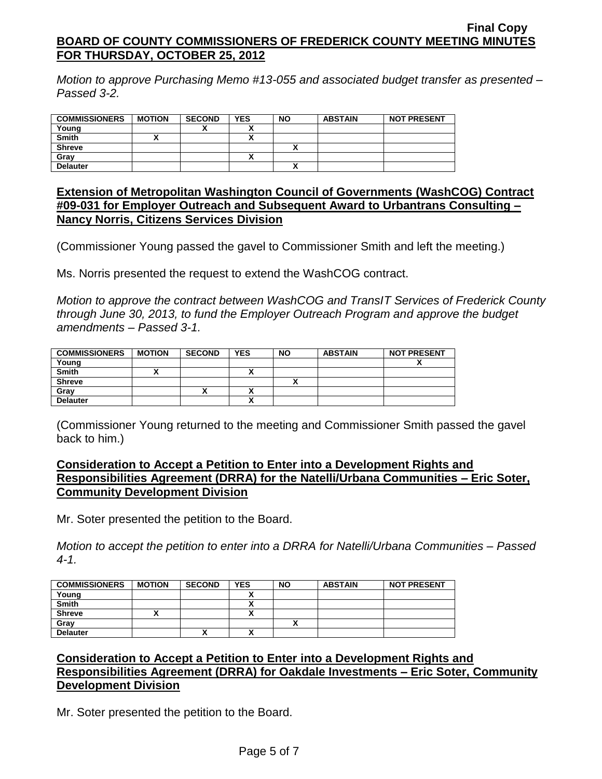*Motion to approve Purchasing Memo #13-055 and associated budget transfer as presented – Passed 3-2.*

| <b>COMMISSIONERS</b> | <b>MOTION</b> | <b>SECOND</b> | <b>YES</b>               | <b>NO</b> | <b>ABSTAIN</b> | <b>NOT PRESENT</b> |
|----------------------|---------------|---------------|--------------------------|-----------|----------------|--------------------|
| Young                |               | "             |                          |           |                |                    |
| <b>Smith</b>         |               |               | $\overline{\phantom{a}}$ |           |                |                    |
| <b>Shreve</b>        |               |               |                          |           |                |                    |
| Grav                 |               |               |                          |           |                |                    |
| <b>Delauter</b>      |               |               |                          | ,,        |                |                    |

### **Extension of Metropolitan Washington Council of Governments (WashCOG) Contract #09-031 for Employer Outreach and Subsequent Award to Urbantrans Consulting – Nancy Norris, Citizens Services Division**

(Commissioner Young passed the gavel to Commissioner Smith and left the meeting.)

Ms. Norris presented the request to extend the WashCOG contract.

*Motion to approve the contract between WashCOG and TransIT Services of Frederick County through June 30, 2013, to fund the Employer Outreach Program and approve the budget amendments – Passed 3-1.*

| <b>COMMISSIONERS</b> | <b>MOTION</b> | <b>SECOND</b> | <b>YES</b>           | <b>NO</b> | <b>ABSTAIN</b> | <b>NOT PRESENT</b> |
|----------------------|---------------|---------------|----------------------|-----------|----------------|--------------------|
| Young                |               |               |                      |           |                | ~                  |
| <b>Smith</b>         |               |               | ~                    |           |                |                    |
| <b>Shreve</b>        |               |               |                      | ~         |                |                    |
| Gray                 |               |               | $\ddot{\phantom{1}}$ |           |                |                    |
| <b>Delauter</b>      |               |               | $\cdot$              |           |                |                    |

(Commissioner Young returned to the meeting and Commissioner Smith passed the gavel back to him.)

### **Consideration to Accept a Petition to Enter into a Development Rights and Responsibilities Agreement (DRRA) for the Natelli/Urbana Communities – Eric Soter, Community Development Division**

Mr. Soter presented the petition to the Board.

*Motion to accept the petition to enter into a DRRA for Natelli/Urbana Communities – Passed 4-1.*

| <b>COMMISSIONERS</b> | <b>MOTION</b> | <b>SECOND</b> | <b>YES</b> | <b>NO</b> | <b>ABSTAIN</b> | <b>NOT PRESENT</b> |
|----------------------|---------------|---------------|------------|-----------|----------------|--------------------|
| Young                |               |               |            |           |                |                    |
| <b>Smith</b>         |               |               |            |           |                |                    |
| <b>Shreve</b>        |               |               |            |           |                |                    |
| Gray                 |               |               |            |           |                |                    |
| <b>Delauter</b>      |               | Λ             | ,,,        |           |                |                    |

# **Consideration to Accept a Petition to Enter into a Development Rights and Responsibilities Agreement (DRRA) for Oakdale Investments – Eric Soter, Community Development Division**

Mr. Soter presented the petition to the Board.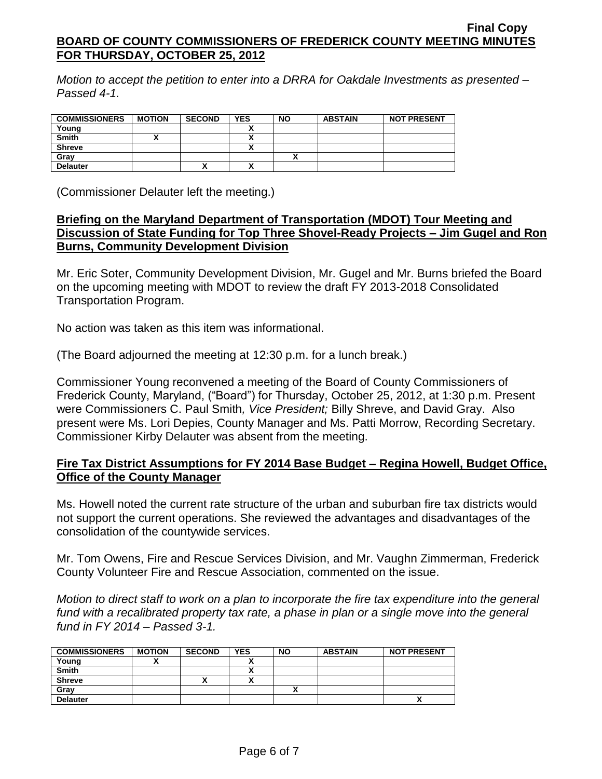*Motion to accept the petition to enter into a DRRA for Oakdale Investments as presented – Passed 4-1.*

| <b>COMMISSIONERS</b> | <b>MOTION</b> | <b>SECOND</b> | <b>YES</b>   | <b>NO</b> | <b>ABSTAIN</b> | <b>NOT PRESENT</b> |
|----------------------|---------------|---------------|--------------|-----------|----------------|--------------------|
| Young                |               |               |              |           |                |                    |
| <b>Smith</b>         |               |               |              |           |                |                    |
| <b>Shreve</b>        |               |               | $\mathbf{v}$ |           |                |                    |
| Gray                 |               |               |              |           |                |                    |
| <b>Delauter</b>      |               | Λ             |              |           |                |                    |

(Commissioner Delauter left the meeting.)

## **Briefing on the Maryland Department of Transportation (MDOT) Tour Meeting and Discussion of State Funding for Top Three Shovel-Ready Projects – Jim Gugel and Ron Burns, Community Development Division**

Mr. Eric Soter, Community Development Division, Mr. Gugel and Mr. Burns briefed the Board on the upcoming meeting with MDOT to review the draft FY 2013-2018 Consolidated Transportation Program.

No action was taken as this item was informational.

(The Board adjourned the meeting at 12:30 p.m. for a lunch break.)

Commissioner Young reconvened a meeting of the Board of County Commissioners of Frederick County, Maryland, ("Board") for Thursday, October 25, 2012, at 1:30 p.m. Present were Commissioners C. Paul Smith*, Vice President;* Billy Shreve, and David Gray. Also present were Ms. Lori Depies, County Manager and Ms. Patti Morrow, Recording Secretary. Commissioner Kirby Delauter was absent from the meeting.

## **Fire Tax District Assumptions for FY 2014 Base Budget – Regina Howell, Budget Office, Office of the County Manager**

Ms. Howell noted the current rate structure of the urban and suburban fire tax districts would not support the current operations. She reviewed the advantages and disadvantages of the consolidation of the countywide services.

Mr. Tom Owens, Fire and Rescue Services Division, and Mr. Vaughn Zimmerman, Frederick County Volunteer Fire and Rescue Association, commented on the issue.

*Motion to direct staff to work on a plan to incorporate the fire tax expenditure into the general fund with a recalibrated property tax rate, a phase in plan or a single move into the general fund in FY 2014 – Passed 3-1.*

| <b>COMMISSIONERS</b> | <b>MOTION</b> | <b>SECOND</b> | <b>YES</b> | <b>NO</b> | <b>ABSTAIN</b> | <b>NOT PRESENT</b> |
|----------------------|---------------|---------------|------------|-----------|----------------|--------------------|
| Young                |               |               |            |           |                |                    |
| <b>Smith</b>         |               |               |            |           |                |                    |
| <b>Shreve</b>        |               |               | ~          |           |                |                    |
| Grav                 |               |               |            |           |                |                    |
| <b>Delauter</b>      |               |               |            |           |                | ~                  |